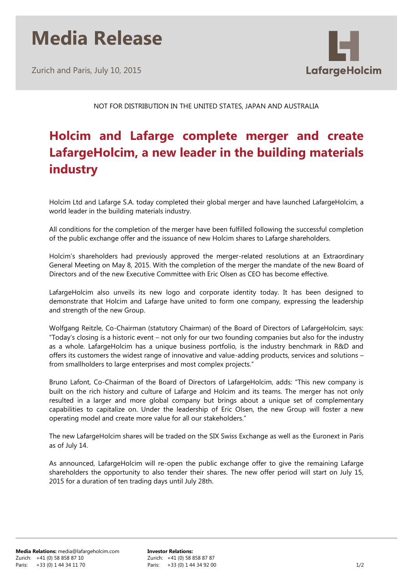# **Media Release**

Zurich and Paris, July 10, 2015



NOT FOR DISTRIBUTION IN THE UNITED STATES, JAPAN AND AUSTRALIA

# **Holcim and Lafarge complete merger and create LafargeHolcim, a new leader in the building materials industry**

Holcim Ltd and Lafarge S.A. today completed their global merger and have launched LafargeHolcim, a world leader in the building materials industry.

All conditions for the completion of the merger have been fulfilled following the successful completion of the public exchange offer and the issuance of new Holcim shares to Lafarge shareholders.

Holcim's shareholders had previously approved the merger-related resolutions at an Extraordinary General Meeting on May 8, 2015. With the completion of the merger the mandate of the new Board of Directors and of the new Executive Committee with Eric Olsen as CEO has become effective.

LafargeHolcim also unveils its new logo and corporate identity today. It has been designed to demonstrate that Holcim and Lafarge have united to form one company, expressing the leadership and strength of the new Group.

Wolfgang Reitzle, Co-Chairman (statutory Chairman) of the Board of Directors of LafargeHolcim, says: "Today's closing is a historic event – not only for our two founding companies but also for the industry as a whole. LafargeHolcim has a unique business portfolio, is the industry benchmark in R&D and offers its customers the widest range of innovative and value-adding products, services and solutions – from smallholders to large enterprises and most complex projects."

Bruno Lafont, Co-Chairman of the Board of Directors of LafargeHolcim, adds: "This new company is built on the rich history and culture of Lafarge and Holcim and its teams. The merger has not only resulted in a larger and more global company but brings about a unique set of complementary capabilities to capitalize on. Under the leadership of Eric Olsen, the new Group will foster a new operating model and create more value for all our stakeholders."

The new LafargeHolcim shares will be traded on the SIX Swiss Exchange as well as the Euronext in Paris as of July 14.

As announced, LafargeHolcim will re-open the public exchange offer to give the remaining Lafarge shareholders the opportunity to also tender their shares. The new offer period will start on July 15, 2015 for a duration of ten trading days until July 28th.